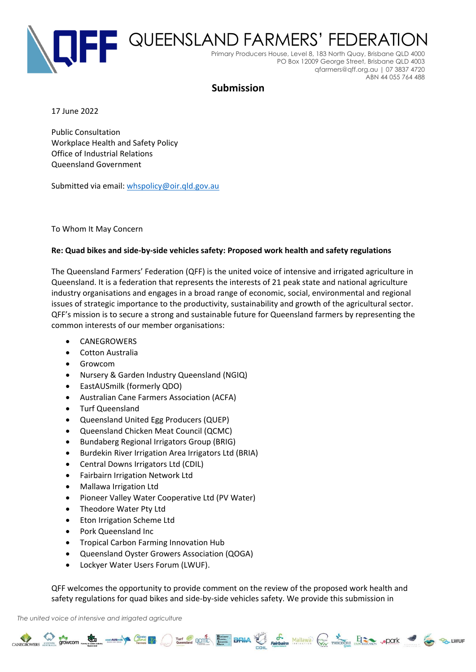

## **Submission**

17 June 2022

Public Consultation Workplace Health and Safety Policy Office of Industrial Relations Queensland Government

Submitted via email: [whspolicy@oir.qld.gov.au](mailto:whspolicy@oir.qld.gov.au)

To Whom It May Concern

## **Re: Quad bikes and side-by-side vehicles safety: Proposed work health and safety regulations**

The Queensland Farmers' Federation (QFF) is the united voice of intensive and irrigated agriculture in Queensland. It is a federation that represents the interests of 21 peak state and national agriculture industry organisations and engages in a broad range of economic, social, environmental and regional issues of strategic importance to the productivity, sustainability and growth of the agricultural sector. QFF's mission is to secure a strong and sustainable future for Queensland farmers by representing the common interests of our member organisations:

- CANEGROWERS
- Cotton Australia
- Growcom
- Nursery & Garden Industry Queensland (NGIQ)
- EastAUSmilk (formerly QDO)
- Australian Cane Farmers Association (ACFA)
- Turf Queensland
- Queensland United Egg Producers (QUEP)
- Queensland Chicken Meat Council (QCMC)
- Bundaberg Regional Irrigators Group (BRIG)
- Burdekin River Irrigation Area Irrigators Ltd (BRIA)
- Central Downs Irrigators Ltd (CDIL)
- Fairbairn Irrigation Network Ltd
- Mallawa Irrigation Ltd
- Pioneer Valley Water Cooperative Ltd (PV Water)
- Theodore Water Pty Ltd
- Eton Irrigation Scheme Ltd
- Pork Queensland Inc
- Tropical Carbon Farming Innovation Hub
- Queensland Oyster Growers Association (QOGA)
- Lockyer Water Users Forum (LWUF).

QFF welcomes the opportunity to provide comment on the review of the proposed work health and safety regulations for quad bikes and side-by-side vehicles safety. We provide this submission in

CANEGROWERS STOWCOM COME TO THE RESERVE OF THE CANAL CANAL PROPERTY AND THE CANAL CANAL CANAL CANAL CANAL CANAL CANAL CANAL CANAL CANAL CANAL CANAL CANAL CANAL CANAL CANAL CANAL CANAL CANAL CANAL CANAL CANAL CANAL CANAL CA

*The united voice of intensive and irrigated agriculture*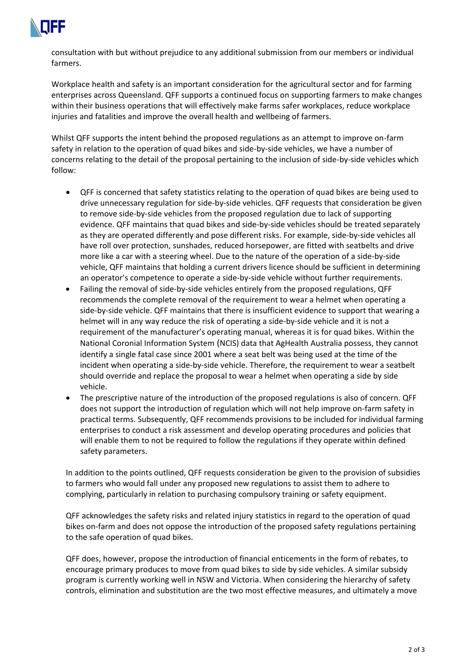

consultation with but without prejudice to any additional submission from our members or individual farmers.

Workplace health and safety is an important consideration for the agricultural sector and for farming enterprises across Queensland. QFF supports a continued focus on supporting farmers to make changes within their business operations that will effectively make farms safer workplaces, reduce workplace injuries and fatalities and improve the overall health and wellbeing of farmers.

Whilst QFF supports the intent behind the proposed regulations as an attempt to improve on-farm safety in relation to the operation of quad bikes and side-by-side vehicles, we have a number of concerns relating to the detail of the proposal pertaining to the inclusion of side-by-side vehicles which follow:

- QFF is concerned that safety statistics relating to the operation of quad bikes are being used to drive unnecessary regulation for side-by-side vehicles. QFF requests that consideration be given to remove side-by-side vehicles from the proposed regulation due to lack of supporting evidence. QFF maintains that quad bikes and side-by-side vehicles should be treated separately as they are operated differently and pose different risks. For example, side-by-side vehicles all have roll over protection, sunshades, reduced horsepower, are fitted with seatbelts and drive more like a car with a steering wheel. Due to the nature of the operation of a side-by-side vehicle, QFF maintains that holding a current drivers licence should be sufficient in determining an operator's competence to operate a side-by-side vehicle without further requirements.
- Failing the removal of side-by-side vehicles entirely from the proposed regulations, QFF recommends the complete removal of the requirement to wear a helmet when operating a side-by-side vehicle. QFF maintains that there is insufficient evidence to support that wearing a helmet will in any way reduce the risk of operating a side-by-side vehicle and it is not a requirement of the manufacturer's operating manual, whereas it is for quad bikes. Within the National Coronial Information System (NCIS) data that AgHealth Australia possess, they cannot identify a single fatal case since 2001 where a seat belt was being used at the time of the incident when operating a side-by-side vehicle. Therefore, the requirement to wear a seatbelt should override and replace the proposal to wear a helmet when operating a side by side vehicle.
- The prescriptive nature of the introduction of the proposed regulations is also of concern. QFF does not support the introduction of regulation which will not help improve on-farm safety in practical terms. Subsequently, QFF recommends provisions to be included for individual farming enterprises to conduct a risk assessment and develop operating procedures and policies that will enable them to not be required to follow the regulations if they operate within defined safety parameters.

In addition to the points outlined, QFF requests consideration be given to the provision of subsidies to farmers who would fall under any proposed new regulations to assist them to adhere to complying, particularly in relation to purchasing compulsory training or safety equipment.

QFF acknowledges the safety risks and related injury statistics in regard to the operation of quad bikes on-farm and does not oppose the introduction of the proposed safety regulations pertaining to the safe operation of quad bikes.

QFF does, however, propose the introduction of financial enticements in the form of rebates, to encourage primary produces to move from quad bikes to side by side vehicles. A similar subsidy program is currently working well in NSW and Victoria. When considering the hierarchy of safety controls, elimination and substitution are the two most effective measures, and ultimately a move